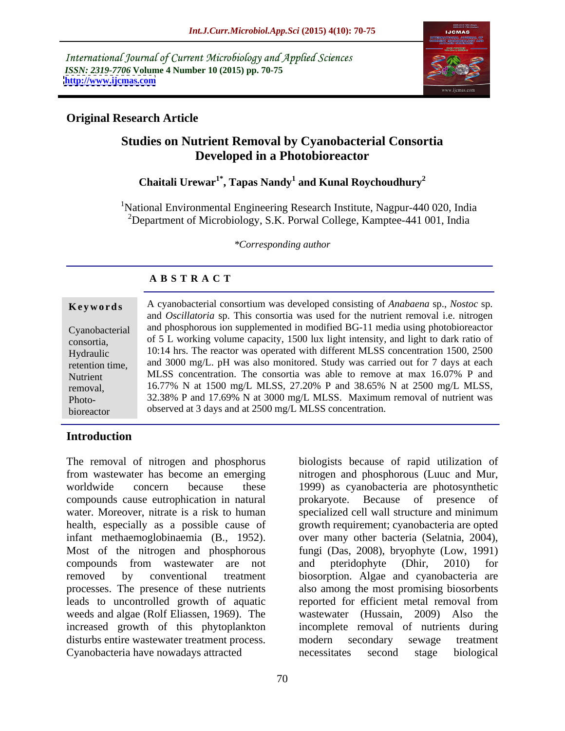International Journal of Current Microbiology and Applied Sciences *ISSN: 2319-7706* **Volume 4 Number 10 (2015) pp. 70-75 <http://www.ijcmas.com>**



# **Original Research Article**

# **Studies on Nutrient Removal by Cyanobacterial Consortia Developed in a Photobioreactor**

# **Chaitali Urewar1\*, Tapas Nandy1 and Kunal Roychoudhury<sup>2</sup>**

<sup>1</sup>National Environmental Engineering Research Institute, Nagpur-440 020, India <sup>2</sup>Department of Microbiology, S.K. Porwal College, Kamptee-441 001, India

*\*Corresponding author*

| Keywords        | A cyanobacterial consortium was developed consisting of Anabaena sp., Nostoc sp.              |  |  |
|-----------------|-----------------------------------------------------------------------------------------------|--|--|
|                 | and <i>Oscillatoria</i> sp. This consortia was used for the nutrient removal i.e. nitrogen    |  |  |
|                 | Cyanobacterial and phosphorous ion supplemented in modified BG-11 media using photobioreactor |  |  |
| consortia,      | of 5 L working volume capacity, 1500 lux light intensity, and light to dark ratio of          |  |  |
| Hydraulic       | 10:14 hrs. The reactor was operated with different MLSS concentration 1500, 2500              |  |  |
| retention time, | and 3000 mg/L. pH was also monitored. Study was carried out for 7 days at each                |  |  |
| Nutrient        | MLSS concentration. The consortia was able to remove at max 16.07% P and                      |  |  |
| removal,        | 16.77% N at 1500 mg/L MLSS, 27.20% P and 38.65% N at 2500 mg/L MLSS,                          |  |  |
| Photo-          | 32.38% P and 17.69% N at 3000 mg/L MLSS. Maximum removal of nutrient was                      |  |  |
| bioreactor      | observed at 3 days and at 2500 mg/L MLSS concentration.                                       |  |  |
|                 |                                                                                               |  |  |

# **Introduction**

The removal of nitrogen and phosphorus biologists because of rapid utilization of from wastewater has become an emerging nitrogen and phosphorous (Luuc and Mur, worldwide concern because these 1999) as cyanobacteria are photosynthetic compounds cause eutrophication in natural water. Moreover, nitrate is a risk to human specialized cell wall structure and minimum health, especially as a possible cause of growth requirement; cyanobacteria are opted infant methaemoglobinaemia (B., 1952). over many other bacteria (Selatnia, 2004),<br>Most of the nitrogen and phosphorous fungi (Das, 2008), bryophyte (Low, 1991) compounds from wastewater are not and pteridophyte (Dhir, 2010) for removed by conventional treatment biosorption. Algae and cyanobacteria are processes. The presence of these nutrients also among the most promising biosorbents leads to uncontrolled growth of aquatic reported for efficient metal removal from weeds and algae (Rolf Eliassen, 1969). The wastewater (Hussain, 2009) Also the increased growth of this phytoplankton incomplete removal of nutrients during disturbs entire wastewater treatment process. The modern secondary sewage treatment Cyanobacteria have nowadays attracted

prokaryote. Because of presence of over many other bacteria (Selatnia, 2004), fungi (Das, 2008), bryophyte (Low, 1991) and pteridophyte (Dhir, 2010) for modern secondary sewage treatment necessitates second stage biological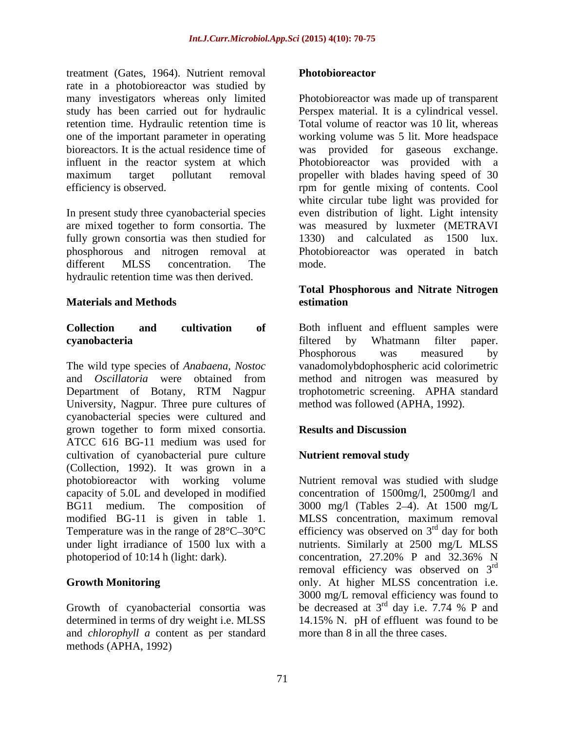treatment (Gates, 1964). Nutrient removal rate in a photobioreactor was studied by retention time. Hydraulic retention time is bioreactors. It is the actual residence time of was provided for gaseous exchange.

In present study three cyanobacterial species even distribution of light. Light intensity are mixed together to form consortia. The was measured by luxmeter (METRAVI fully grown consortia was then studied for  $1330$  and calculated as 1500 lux. phosphorous and nitrogen removal at different MLSS concentration. The mode. hydraulic retention time was then derived.

The wild type species of *Anabaena, Nostoc* vanadomolybdophospheric acid colorimetric and *Oscillatoria* were obtained from method and nitrogen was measured by Department of Botany, RTM Nagpur University, Nagpur. Three pure cultures of cyanobacterial species were cultured and grown together to form mixed consortia. ATCC 616 BG-11 medium was used for cultivation of cyanobacterial pure culture **Nutrient removal study** (Collection, 1992). It was grown in a photobioreactor with working volume capacity of 5.0L and developed in modified concentration of 1500mg/l, 2500mg/l and BG11 medium. The composition of 3000 mg/l (Tables 2–4). At 1500 mg/L modified BG-11 is given in table 1. Temperature was in the range of  $28^{\circ}$ C $-30^{\circ}$ C efficiency was observed on  $3^{\text{rd}}$  day for both under light irradiance of 1500 lux with a nutrients. Similarly at 2500 mg/L MLSS photoperiod of 10:14 h (light: dark). concentration, 27.20% P and 32.36% N reasonaritics (assess the bin this move of the model of the conservation of the conservation of the conservation of the conservation of the conservation of the conservation of the conservation of the conservation of the co

Growth of cyanobacterial consortia was and *chlorophyll a* content as per standard

many investigators whereas only limited Photobioreactor was made up of transparent study has been carried out for hydraulic Perspex material. It is a cylindrical vessel. one of the important parameter in operating working volume was 5 lit. More headspace influent in the reactor system at which Photobioreactor was provided with a maximum target pollutant removal propeller with blades having speed of 30 efficiency is observed. The remember of gentle mixing of contents. Cool Total volume of reactor was 10 lit, whereas was provided for gaseous exchange. white circular tube light was provided for 1330) and calculated as 1500 lux. Photobioreactor was operated in batch mode.

### **Materials and Methods Total Phosphorous and Nitrate Nitrogen estimation**

**Collection and cultivation of** Both influent and effluent samples were **cyanobacteria** filtered by Whatmann filter paper. Phosphorous was measured by trophotometric screening. APHA standard method was followed (APHA, 1992).

### **Results and Discussion**

## **Nutrient removal study**

**Growth Monitoring**  only. At higher MLSS concentration i.e. determined in terms of dry weight i.e. MLSS 14.15% N. pH of effluent was found to be Nutrient removal was studied with sludge MLSS concentration, maximum removal <sup>rd</sup> day for both concentration, 27.20% P and 32.36% N removal efficiency was observed on 3<sup>rd</sup> rd 3000 mg/L removal efficiency was found to be decreased at  $3<sup>rd</sup>$  day i.e. 7.74 % P and  $^{rd}$  day i.e. 7.74 % P and more than 8 in all the three cases.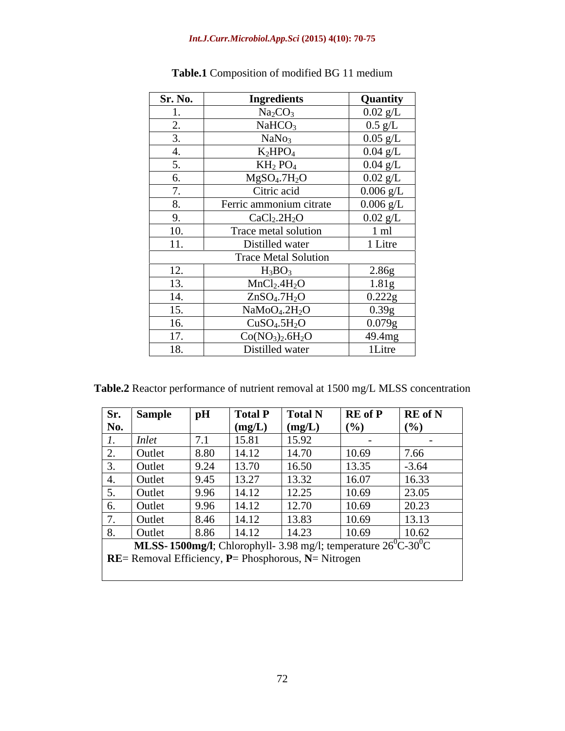| <b>Sr. No.</b>        | <b>Ingredients</b>                    | <b>Quantity</b>     |
|-----------------------|---------------------------------------|---------------------|
|                       | Na <sub>2</sub> CO <sub>3</sub>       | $0.02 \text{ g/L}$  |
| <u>L.</u>             | NaHCO <sub>3</sub>                    | $0.5 \text{ g/L}$   |
|                       | NaNo <sub>3</sub>                     | $0.05 \text{ g/L}$  |
|                       | $K_2HPO_4$                            | $0.04 \text{ g/L}$  |
|                       | $KH_{2}PO_{4}$                        | $0.04 \text{ g/L}$  |
|                       | $MgSO_4.7H_2O$                        | $0.02 \text{ g/L}$  |
|                       | Citric acid                           | $0.006$ g/L         |
| $\circ$ .             | Ferric ammonium citrate               | $0.006 \text{ g/L}$ |
| <u>.</u>              | CaCl <sub>2</sub> .2H <sub>2</sub> O  | $0.02$ g/L          |
| 10.                   | Trace metal solution                  | $1 \text{ ml}$      |
| $-4-4$<br>11.         | Distilled water                       | 1 Litre             |
|                       | <b>Trace Metal Solution</b>           |                     |
| $1^{\circ}$<br>12.    | $H_3BO_3$                             | 2.86g               |
| 12<br>13.             | MnCl <sub>2</sub> .4H <sub>2</sub> O  | 1.81g               |
| $1\,$<br>14.          | ZnSO <sub>4</sub> .7H <sub>2</sub> O  | 0.222g              |
| 15.                   | NaMoO <sub>4</sub> .2H <sub>2</sub> O | 0.39g               |
| 16.                   | CuSO <sub>4</sub> .5H <sub>2</sub> O  | 0.079g              |
| 1 <sub>7</sub><br>1/2 | $Co(NO3)2.6H2O$                       | 49.4mg              |
| 18.                   | Distilled water                       | 1Litre              |

**Table.1** Composition of modified BG 11 medium

**Table.2** Reactor performance of nutrient removal at 1500 mg/L MLSS concentration

|     | <b>Sr.</b> Sample                                                           | $\mathbf{p}$ H | <b>Total P</b> | <b>Total N</b> | R E of P                                                                                                 | <b>RE</b> of N |
|-----|-----------------------------------------------------------------------------|----------------|----------------|----------------|----------------------------------------------------------------------------------------------------------|----------------|
| No. |                                                                             |                | (mg/L)         | (mg/L)         | (%)                                                                                                      | (%)            |
| . . | Inlet                                                                       |                | 15.81          | 15.92          |                                                                                                          |                |
| ∠.  | Outlet                                                                      | 8.80           | 14.12          | 14.70          | 10.69                                                                                                    | 7.66           |
|     | Outlet                                                                      | 9.24           | 13.70          | 16.50          | 13.35                                                                                                    | $-3.64$        |
|     | Outlet                                                                      | 9.45           | 13.27          | 13.32          | 16.07                                                                                                    | 16.33          |
|     | Outlet                                                                      | 996            | 14.12          | 12.25          | 10.69                                                                                                    | 23.05          |
| v.  | Outlet                                                                      | 996            | 14.12          | 12.70          | 10.69                                                                                                    | 20.23          |
|     | Outlet                                                                      | 8.46           | 14.12          | 13.83          | 10.69                                                                                                    | 13.13          |
|     | Outlet                                                                      | 8.86           | 14.12          | 14.23          | 10.69                                                                                                    | 10.62          |
|     |                                                                             |                |                |                | <b>MLSS-1500mg/l</b> ; Chlorophyll- $\overline{3.98}$ mg/l; temperature $26^{\circ}$ C-30 <sup>o</sup> C |                |
|     | <b>RE</b> = Removal Efficiency, <b>P</b> = Phosphorous, <b>N</b> = Nitrogen |                |                |                |                                                                                                          |                |
|     |                                                                             |                |                |                |                                                                                                          |                |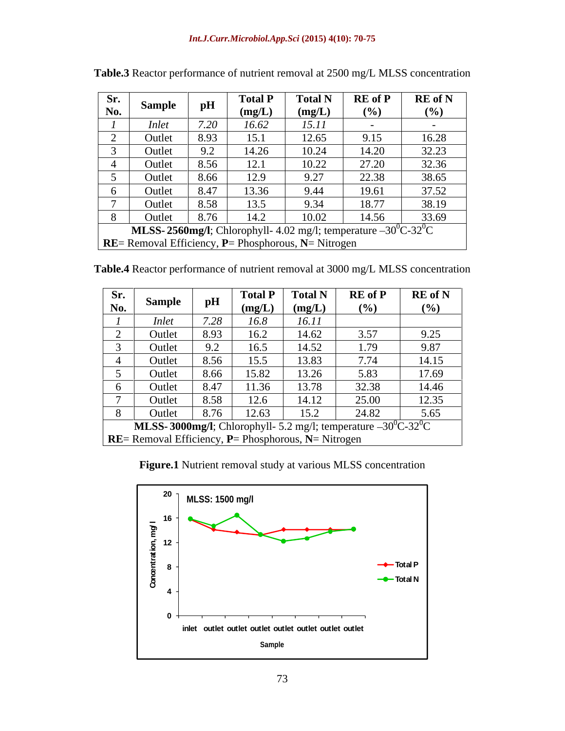| Sr.<br>No.                                                  | Sample       | pH   | <b>fotal P</b><br>(mg/L) | <b>Total N</b><br>(mg/L) | <b>RE</b> of <b>P</b><br>(%)                                              | <b>RE</b> of N<br>$($ %) |
|-------------------------------------------------------------|--------------|------|--------------------------|--------------------------|---------------------------------------------------------------------------|--------------------------|
|                                                             | <i>Inlet</i> | 7.20 | 16.62                    | 15.11                    |                                                                           |                          |
|                                                             | Outle        | 8.93 | 15.1                     | 12.65                    | 9.15                                                                      | 16.28                    |
|                                                             | Outle        | 9.2  | 14.26                    | 10.24                    | 14.20                                                                     | 32.23                    |
|                                                             | Outle        | 8.56 | 12.1                     | 10.22                    | 27.20                                                                     | 32.36                    |
|                                                             | Outle        | 8.66 | 12.9                     | 9.27                     | 22.38                                                                     | 38.65                    |
|                                                             | Outle        | 8.47 | 13.36                    | 9.44                     | 19.61                                                                     | 37.52                    |
|                                                             | Outle        | 8.58 | 13.5                     | 9.34                     | 18.77                                                                     | 38.19                    |
|                                                             | Outle        | 8.76 | 14.2                     | 10.02                    | 14.56                                                                     | 33.69                    |
|                                                             |              |      |                          |                          | <b>MLSS-2560mg/l</b> ; Chlorophyll- 4.02 mg/l; temperature $-30^0C-32^0C$ |                          |
| $\vert$ RE= Removal Efficiency, P= Phosphorous, N= Nitrogen |              |      |                          |                          |                                                                           |                          |

**Table.3** Reactor performance of nutrient removal at 2500 mg/L MLSS concentration

**Table.4** Reactor performance of nutrient removal at 3000 mg/L MLSS concentration

| Sr. |                                                                             | pH   | <b>Total P</b> | <b>Total N</b> | <b>RE</b> of <b>P</b>                                                                       | <b>RE</b> of N |
|-----|-----------------------------------------------------------------------------|------|----------------|----------------|---------------------------------------------------------------------------------------------|----------------|
| No. | Sample                                                                      |      | (mg/L)         | (mg/L)         | (%)                                                                                         | (%)            |
|     | <i>Inlet</i>                                                                | 7.28 | 16.8           | 16.11          |                                                                                             |                |
|     | Outlet                                                                      | 8.93 | 16.2           | 14.62          | 3.57                                                                                        | 9.25           |
|     | Outlet                                                                      | 9.2  | 16.5           | 14.52          | 1.79                                                                                        | 9.87           |
|     | Outlet                                                                      | 8.56 | 15.5           | 13.83          | 7.74                                                                                        | 14.15          |
|     | Outlet                                                                      | 8.66 | 15.82          | 13.26          | 5.83                                                                                        | 17.69          |
|     | Outlet                                                                      | 8.47 | 11.36          | 13.78          | 32.38                                                                                       | 14.46          |
|     | Outlet                                                                      | 8.58 | 12.6           | 14.12          | 25.00                                                                                       | 12.35          |
|     | Outlet                                                                      | 8.76 | 12.63          | 15.2           | 24.82                                                                                       | 5.65           |
|     |                                                                             |      |                |                | <b>MLSS-3000mg/l</b> ; Chlorophyll- 5.2 mg/l; temperature $-30^{\circ}$ C-32 <sup>o</sup> C |                |
|     | <b>RE</b> = Removal Efficiency, <b>P</b> = Phosphorous, <b>N</b> = Nitrogen |      |                |                |                                                                                             |                |

**Figure.1** Nutrient removal study at various MLSS concentration

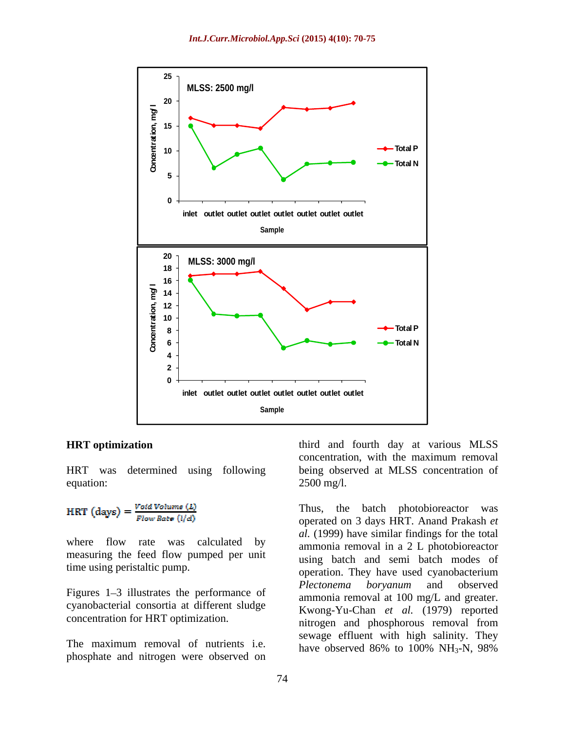

equation:  $2500 \text{ mg/l}$ .

$$
HRT \text{ (days)} = \frac{Void \text{ Volume } (L)}{Flow \text{ Rate } (l/d)}
$$

where flow rate was calculated by measuring the feed flow pumped per unit

cyanobacterial consortia at different sludge concentration for HRT optimization.

The maximum removal of nutrients i.e. phosphate and nitrogen were observed on

**HRT optimization** third and fourth day at various MLSS HRT was determined using following being observed at MLSS concentration of concentration, with the maximum removal  $2500 \text{ mg/l}.$ 

time using peristaltic pump. operation. They have used cyanobacterium Figures 1–3 illustrates the performance of *Plectonema boryanum* and observed Thus, the batch photobioreactor was operated on 3 days HRT. Anand Prakash *et al.* (1999) have similar findings for the total ammonia removal in a 2 L photobioreactor using batch and semi batch modes of *Plectonema boryanum* and observed ammonia removal at 100 mg/L and greater. Kwong-Yu-Chan *et al.* (1979) reported nitrogen and phosphorous removal from sewage effluent with high salinity. They have observed  $86\%$  to  $100\%$  NH<sub>3</sub>-N, 98%